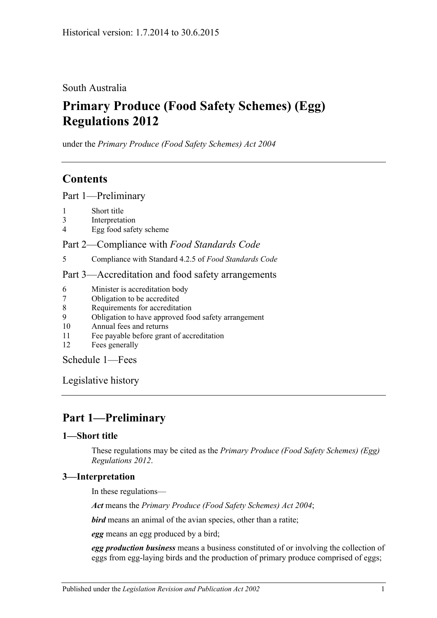South Australia

# **Primary Produce (Food Safety Schemes) (Egg) Regulations 2012**

under the *Primary Produce (Food Safety Schemes) Act 2004*

# **Contents**

Part [1—Preliminary](#page-0-0)

- 1 [Short title](#page-0-1)
- 3 [Interpretation](#page-0-2)
- 4 [Egg food safety scheme](#page-1-0)

Part 2—Compliance with *[Food Standards Code](#page-1-1)*

5 [Compliance with Standard](#page-1-2) 4.2.5 of *Food Standards Code*

### Part [3—Accreditation and food safety arrangements](#page-1-3)

- 6 [Minister is accreditation body](#page-1-4)
- 7 [Obligation to be accredited](#page-1-5)
- 8 [Requirements for accreditation](#page-1-6)
- 9 [Obligation to have approved food safety arrangement](#page-1-7)
- 10 [Annual fees and returns](#page-2-0)
- 11 [Fee payable before grant of accreditation](#page-2-1)
- 12 [Fees generally](#page-2-2)

[Schedule](#page-2-3) 1—Fees

[Legislative history](#page-3-0)

# <span id="page-0-0"></span>**Part 1—Preliminary**

## <span id="page-0-1"></span>**1—Short title**

These regulations may be cited as the *Primary Produce (Food Safety Schemes) (Egg) Regulations 2012*.

## <span id="page-0-2"></span>**3—Interpretation**

In these regulations—

*Act* means the *[Primary Produce \(Food Safety Schemes\) Act](http://www.legislation.sa.gov.au/index.aspx?action=legref&type=act&legtitle=Primary%20Produce%20(Food%20Safety%20Schemes)%20Act%202004) 2004*;

*bird* means an animal of the avian species, other than a ratite;

*egg* means an egg produced by a bird;

*egg production business* means a business constituted of or involving the collection of eggs from egg-laying birds and the production of primary produce comprised of eggs;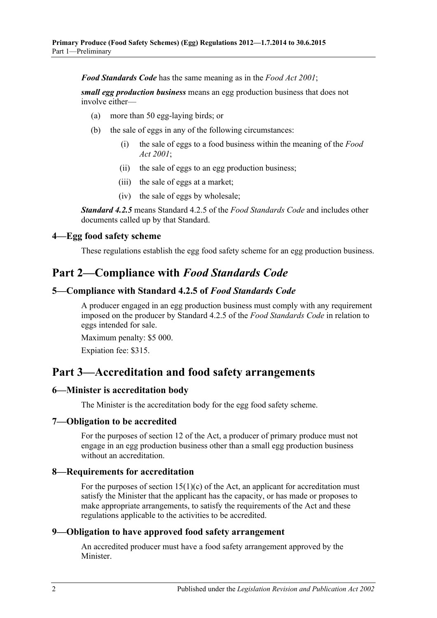*Food Standards Code* has the same meaning as in the *[Food Act](http://www.legislation.sa.gov.au/index.aspx?action=legref&type=act&legtitle=Food%20Act%202001) 2001*;

*small egg production business* means an egg production business that does not involve either—

- (a) more than 50 egg-laying birds; or
- (b) the sale of eggs in any of the following circumstances:
	- (i) the sale of eggs to a food business within the meaning of the *[Food](http://www.legislation.sa.gov.au/index.aspx?action=legref&type=act&legtitle=Food%20Act%202001)  Act [2001](http://www.legislation.sa.gov.au/index.aspx?action=legref&type=act&legtitle=Food%20Act%202001)*;
	- (ii) the sale of eggs to an egg production business;
	- (iii) the sale of eggs at a market;
	- (iv) the sale of eggs by wholesale;

*Standard 4.2.5* means Standard 4.2.5 of the *Food Standards Code* and includes other documents called up by that Standard.

#### <span id="page-1-0"></span>**4—Egg food safety scheme**

These regulations establish the egg food safety scheme for an egg production business.

## <span id="page-1-1"></span>**Part 2—Compliance with** *Food Standards Code*

#### <span id="page-1-2"></span>**5—Compliance with Standard 4.2.5 of** *Food Standards Code*

A producer engaged in an egg production business must comply with any requirement imposed on the producer by Standard 4.2.5 of the *Food Standards Code* in relation to eggs intended for sale.

Maximum penalty: \$5 000.

Expiation fee: \$315.

## <span id="page-1-3"></span>**Part 3—Accreditation and food safety arrangements**

#### <span id="page-1-4"></span>**6—Minister is accreditation body**

The Minister is the accreditation body for the egg food safety scheme.

#### <span id="page-1-5"></span>**7—Obligation to be accredited**

For the purposes of section 12 of the Act, a producer of primary produce must not engage in an egg production business other than a small egg production business without an accreditation.

#### <span id="page-1-6"></span>**8—Requirements for accreditation**

For the purposes of section  $15(1)(c)$  of the Act, an applicant for accreditation must satisfy the Minister that the applicant has the capacity, or has made or proposes to make appropriate arrangements, to satisfy the requirements of the Act and these regulations applicable to the activities to be accredited.

### <span id="page-1-7"></span>**9—Obligation to have approved food safety arrangement**

An accredited producer must have a food safety arrangement approved by the Minister.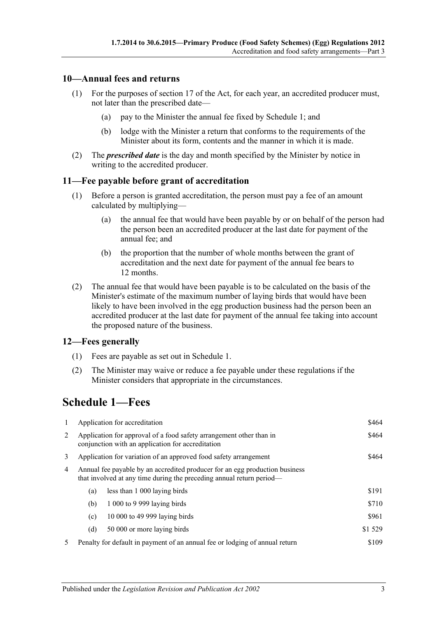### <span id="page-2-0"></span>**10—Annual fees and returns**

- (1) For the purposes of section 17 of the Act, for each year, an accredited producer must, not later than the prescribed date—
	- (a) pay to the Minister the annual fee fixed by Schedule 1; and
	- (b) lodge with the Minister a return that conforms to the requirements of the Minister about its form, contents and the manner in which it is made.
- (2) The *prescribed date* is the day and month specified by the Minister by notice in writing to the accredited producer.

#### <span id="page-2-1"></span>**11—Fee payable before grant of accreditation**

- (1) Before a person is granted accreditation, the person must pay a fee of an amount calculated by multiplying—
	- (a) the annual fee that would have been payable by or on behalf of the person had the person been an accredited producer at the last date for payment of the annual fee; and
	- (b) the proportion that the number of whole months between the grant of accreditation and the next date for payment of the annual fee bears to 12 months.
- (2) The annual fee that would have been payable is to be calculated on the basis of the Minister's estimate of the maximum number of laying birds that would have been likely to have been involved in the egg production business had the person been an accredited producer at the last date for payment of the annual fee taking into account the proposed nature of the business.

#### <span id="page-2-2"></span>**12—Fees generally**

- (1) Fees are payable as set out in Schedule 1.
- (2) The Minister may waive or reduce a fee payable under these regulations if the Minister considers that appropriate in the circumstances.

# <span id="page-2-3"></span>**Schedule 1—Fees**

| 1 | Application for accreditation                                                                                                                       |                                                                             | \$464    |
|---|-----------------------------------------------------------------------------------------------------------------------------------------------------|-----------------------------------------------------------------------------|----------|
| 2 | Application for approval of a food safety arrangement other than in<br>conjunction with an application for accreditation                            |                                                                             |          |
| 3 | Application for variation of an approved food safety arrangement                                                                                    |                                                                             |          |
| 4 | Annual fee payable by an accredited producer for an egg production business<br>that involved at any time during the preceding annual return period— |                                                                             |          |
|   | (a)                                                                                                                                                 | less than 1 000 laying birds                                                | \$191    |
|   | (b)                                                                                                                                                 | 1 000 to 9 999 laying birds                                                 | \$710    |
|   | (c)                                                                                                                                                 | 10 000 to 49 999 laying birds                                               | \$961    |
|   | (d)                                                                                                                                                 | 50 000 or more laying birds                                                 | \$1 5 29 |
| 5 |                                                                                                                                                     | Penalty for default in payment of an annual fee or lodging of annual return | \$109    |